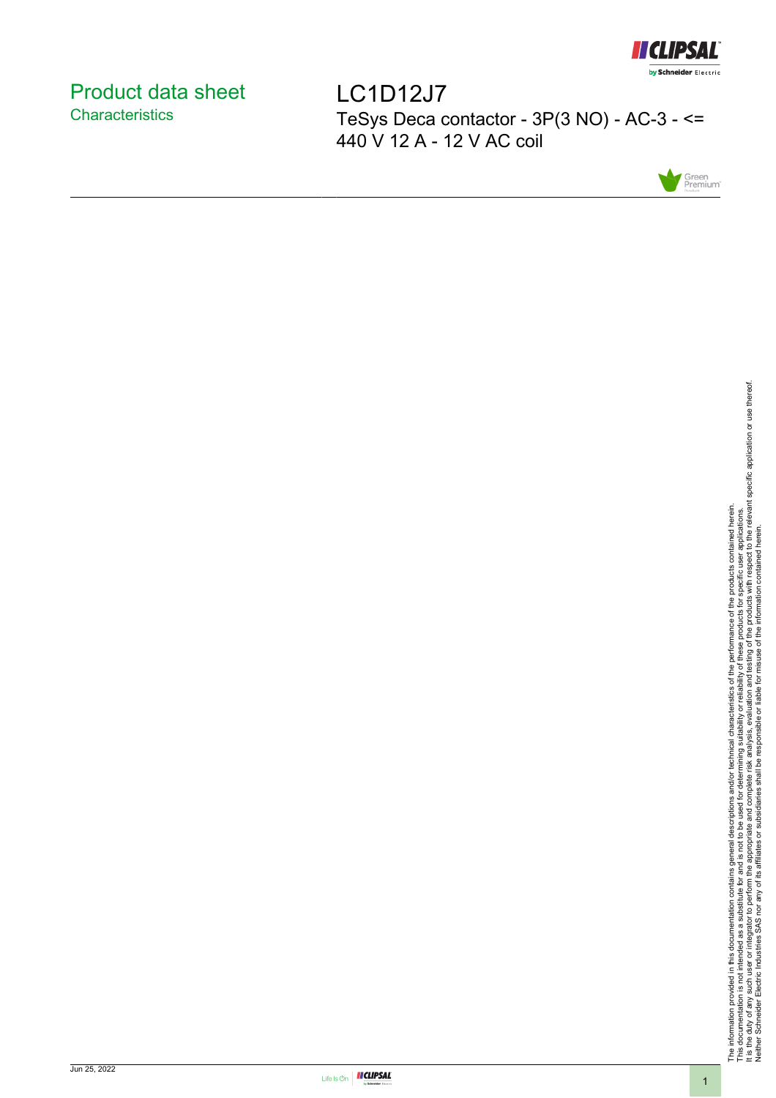

# <span id="page-0-0"></span>Product data sheet **Characteristics**

LC1D12J7 TeSys Deca contactor - 3P(3 NO) - AC-3 - <= 440 V 12 A - 12 V AC coil



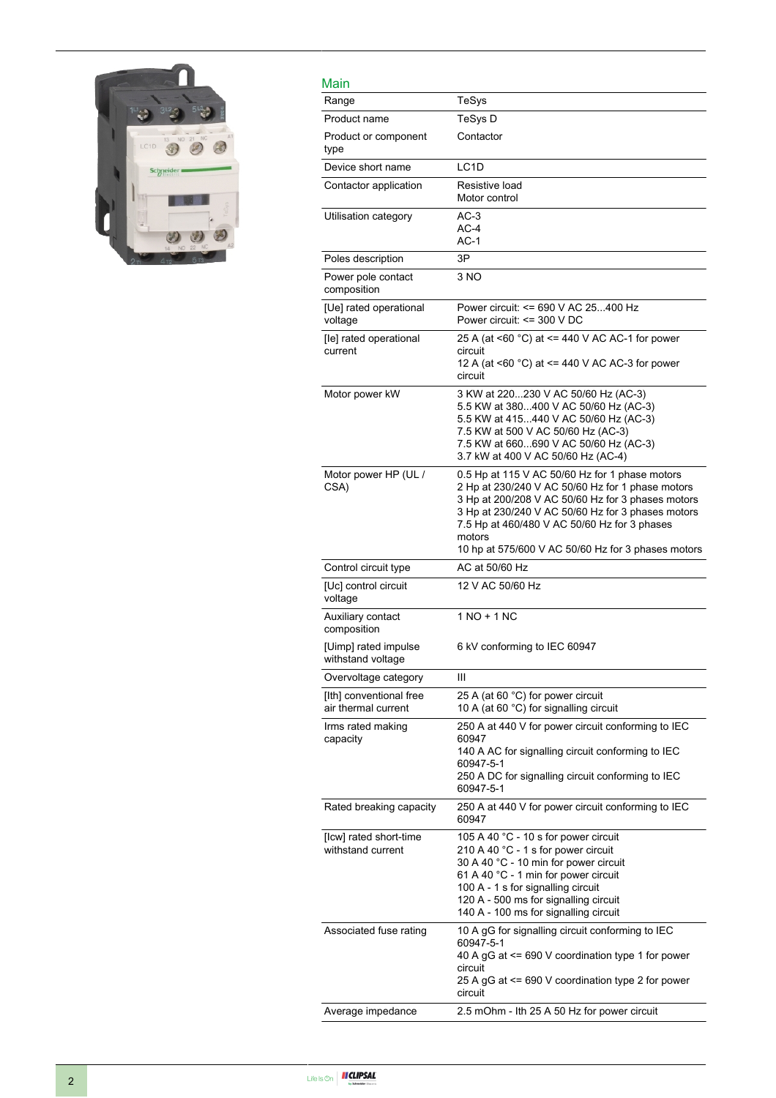

| Main                                           |                                                                                                                                                                                                                                                                                                                              |
|------------------------------------------------|------------------------------------------------------------------------------------------------------------------------------------------------------------------------------------------------------------------------------------------------------------------------------------------------------------------------------|
| Range                                          | TeSys                                                                                                                                                                                                                                                                                                                        |
| Product name                                   | TeSys D                                                                                                                                                                                                                                                                                                                      |
| Product or component<br>type                   | Contactor                                                                                                                                                                                                                                                                                                                    |
| Device short name                              | LC <sub>1</sub> D                                                                                                                                                                                                                                                                                                            |
| Contactor application                          | Resistive load<br>Motor control                                                                                                                                                                                                                                                                                              |
| Utilisation category                           | $AC-3$<br>$AC-4$<br>$AC-1$                                                                                                                                                                                                                                                                                                   |
| Poles description                              | 3P                                                                                                                                                                                                                                                                                                                           |
| Power pole contact<br>composition              | 3 NO                                                                                                                                                                                                                                                                                                                         |
| [Ue] rated operational<br>voltage              | Power circuit: <= 690 V AC 25400 Hz<br>Power circuit: <= 300 V DC                                                                                                                                                                                                                                                            |
| [le] rated operational<br>current              | 25 A (at <60 °C) at <= 440 V AC AC-1 for power<br>circuit<br>12 A (at <60 °C) at <= 440 V AC AC-3 for power<br>circuit                                                                                                                                                                                                       |
| Motor power kW                                 | 3 KW at 220230 V AC 50/60 Hz (AC-3)<br>5.5 KW at 380400 V AC 50/60 Hz (AC-3)<br>5.5 KW at 415440 V AC 50/60 Hz (AC-3)<br>7.5 KW at 500 V AC 50/60 Hz (AC-3)<br>7.5 KW at 660690 V AC 50/60 Hz (AC-3)<br>3.7 kW at 400 V AC 50/60 Hz (AC-4)                                                                                   |
| Motor power HP (UL /<br>CSA)                   | 0.5 Hp at 115 V AC 50/60 Hz for 1 phase motors<br>2 Hp at 230/240 V AC 50/60 Hz for 1 phase motors<br>3 Hp at 200/208 V AC 50/60 Hz for 3 phases motors<br>3 Hp at 230/240 V AC 50/60 Hz for 3 phases motors<br>7.5 Hp at 460/480 V AC 50/60 Hz for 3 phases<br>motors<br>10 hp at 575/600 V AC 50/60 Hz for 3 phases motors |
| Control circuit type                           | AC at 50/60 Hz                                                                                                                                                                                                                                                                                                               |
| [Uc] control circuit<br>voltage                | 12 V AC 50/60 Hz                                                                                                                                                                                                                                                                                                             |
| Auxiliary contact<br>composition               | 1 NO + 1 NC                                                                                                                                                                                                                                                                                                                  |
| [Uimp] rated impulse<br>withstand voltage      | 6 kV conforming to IEC 60947                                                                                                                                                                                                                                                                                                 |
| Overvoltage category                           | Ш                                                                                                                                                                                                                                                                                                                            |
| [Ith] conventional free<br>air thermal current | 25 A (at 60 °C) for power circuit<br>10 A (at 60 °C) for signalling circuit                                                                                                                                                                                                                                                  |
| Irms rated making<br>capacity                  | 250 A at 440 V for power circuit conforming to IEC<br>60947<br>140 A AC for signalling circuit conforming to IEC<br>60947-5-1<br>250 A DC for signalling circuit conforming to IEC<br>60947-5-1                                                                                                                              |
| Rated breaking capacity                        | 250 A at 440 V for power circuit conforming to IEC<br>60947                                                                                                                                                                                                                                                                  |
| [Icw] rated short-time<br>withstand current    | 105 A 40 °C - 10 s for power circuit<br>210 A 40 °C - 1 s for power circuit<br>30 A 40 °C - 10 min for power circuit<br>61 A 40 °C - 1 min for power circuit<br>100 A - 1 s for signalling circuit<br>120 A - 500 ms for signalling circuit<br>140 A - 100 ms for signalling circuit                                         |
| Associated fuse rating                         | 10 A gG for signalling circuit conforming to IEC<br>60947-5-1<br>40 A gG at <= 690 V coordination type 1 for power<br>circuit<br>25 A gG at <= 690 V coordination type 2 for power<br>circuit                                                                                                                                |
| Average impedance                              | 2.5 mOhm - Ith 25 A 50 Hz for power circuit                                                                                                                                                                                                                                                                                  |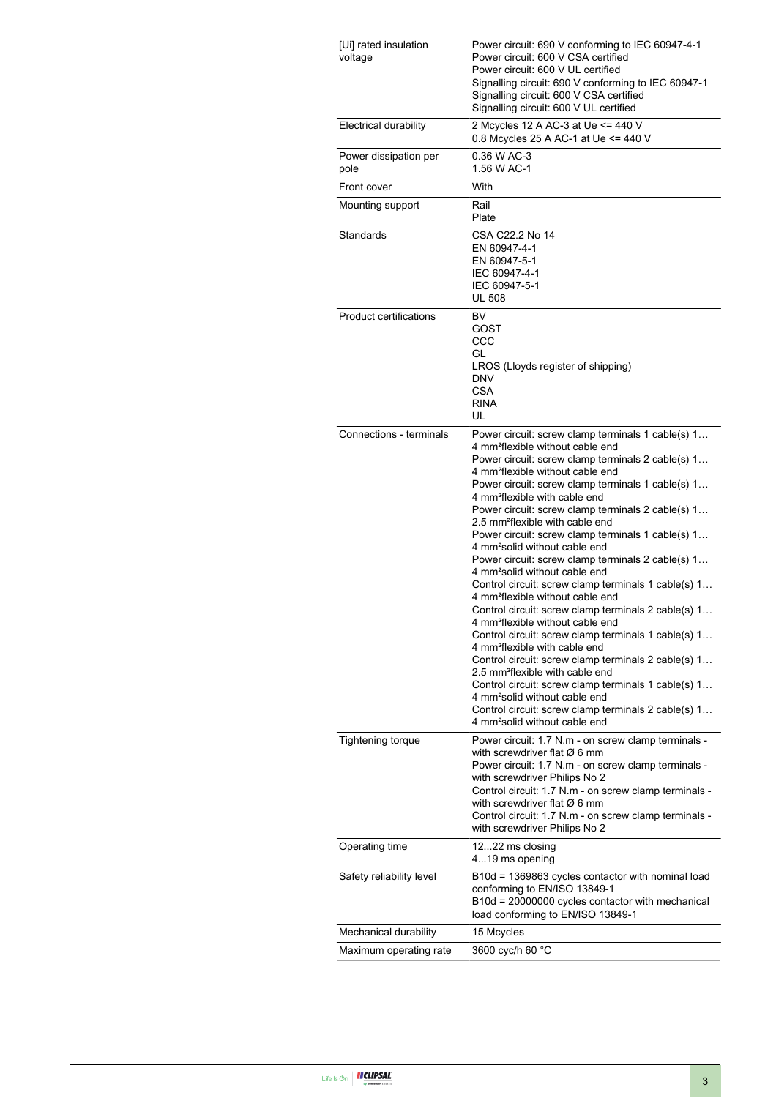| [Ui] rated insulation<br>voltage | Power circuit: 690 V conforming to IEC 60947-4-1<br>Power circuit: 600 V CSA certified<br>Power circuit: 600 V UL certified<br>Signalling circuit: 690 V conforming to IEC 60947-1<br>Signalling circuit: 600 V CSA certified<br>Signalling circuit: 600 V UL certified                                                                                                                                                                                                                                                                                                                                                                                                                                                                                                                                                                                                                                                                                                                                                                                                                                                                                                                                                                          |
|----------------------------------|--------------------------------------------------------------------------------------------------------------------------------------------------------------------------------------------------------------------------------------------------------------------------------------------------------------------------------------------------------------------------------------------------------------------------------------------------------------------------------------------------------------------------------------------------------------------------------------------------------------------------------------------------------------------------------------------------------------------------------------------------------------------------------------------------------------------------------------------------------------------------------------------------------------------------------------------------------------------------------------------------------------------------------------------------------------------------------------------------------------------------------------------------------------------------------------------------------------------------------------------------|
| Electrical durability            | 2 Mcycles 12 A AC-3 at Ue <= 440 V<br>0.8 Mcycles 25 A AC-1 at Ue <= 440 V                                                                                                                                                                                                                                                                                                                                                                                                                                                                                                                                                                                                                                                                                                                                                                                                                                                                                                                                                                                                                                                                                                                                                                       |
| Power dissipation per<br>pole    | 0.36 W AC-3<br>1.56 W AC-1                                                                                                                                                                                                                                                                                                                                                                                                                                                                                                                                                                                                                                                                                                                                                                                                                                                                                                                                                                                                                                                                                                                                                                                                                       |
| Front cover                      | With                                                                                                                                                                                                                                                                                                                                                                                                                                                                                                                                                                                                                                                                                                                                                                                                                                                                                                                                                                                                                                                                                                                                                                                                                                             |
| Mounting support                 | Rail<br>Plate                                                                                                                                                                                                                                                                                                                                                                                                                                                                                                                                                                                                                                                                                                                                                                                                                                                                                                                                                                                                                                                                                                                                                                                                                                    |
| Standards                        | CSA C22.2 No 14<br>EN 60947-4-1<br>EN 60947-5-1<br>IEC 60947-4-1<br>IEC 60947-5-1<br><b>UL 508</b>                                                                                                                                                                                                                                                                                                                                                                                                                                                                                                                                                                                                                                                                                                                                                                                                                                                                                                                                                                                                                                                                                                                                               |
| <b>Product certifications</b>    | BV<br>GOST<br>CCC<br>GL<br>LROS (Lloyds register of shipping)<br><b>DNV</b><br><b>CSA</b><br><b>RINA</b><br>UL                                                                                                                                                                                                                                                                                                                                                                                                                                                                                                                                                                                                                                                                                                                                                                                                                                                                                                                                                                                                                                                                                                                                   |
| Connections - terminals          | Power circuit: screw clamp terminals 1 cable(s) 1<br>4 mm <sup>2</sup> flexible without cable end<br>Power circuit: screw clamp terminals 2 cable(s) 1<br>4 mm <sup>2</sup> flexible without cable end<br>Power circuit: screw clamp terminals 1 cable(s) 1<br>4 mm <sup>2</sup> flexible with cable end<br>Power circuit: screw clamp terminals 2 cable(s) 1<br>2.5 mm <sup>2</sup> flexible with cable end<br>Power circuit: screw clamp terminals 1 cable(s) 1<br>4 mm <sup>2</sup> solid without cable end<br>Power circuit: screw clamp terminals 2 cable(s) 1<br>4 mm <sup>2</sup> solid without cable end<br>Control circuit: screw clamp terminals 1 cable(s) 1<br>4 mm <sup>2</sup> flexible without cable end<br>Control circuit: screw clamp terminals 2 cable(s) 1<br>4 mm <sup>2</sup> flexible without cable end<br>Control circuit: screw clamp terminals 1 cable(s) 1<br>4 mm <sup>2</sup> flexible with cable end<br>Control circuit: screw clamp terminals 2 cable(s) 1<br>2.5 mm <sup>2</sup> flexible with cable end<br>Control circuit: screw clamp terminals 1 cable(s) 1<br>4 mm <sup>2</sup> solid without cable end<br>Control circuit: screw clamp terminals 2 cable(s) 1<br>4 mm <sup>2</sup> solid without cable end |
| <b>Tightening torque</b>         | Power circuit: 1.7 N.m - on screw clamp terminals -<br>with screwdriver flat $\varnothing$ 6 mm<br>Power circuit: 1.7 N.m - on screw clamp terminals -<br>with screwdriver Philips No 2<br>Control circuit: 1.7 N.m - on screw clamp terminals -<br>with screwdriver flat $\varnothing$ 6 mm<br>Control circuit: 1.7 N.m - on screw clamp terminals -<br>with screwdriver Philips No 2                                                                                                                                                                                                                                                                                                                                                                                                                                                                                                                                                                                                                                                                                                                                                                                                                                                           |
| Operating time                   | 1222 ms closing<br>419 ms opening                                                                                                                                                                                                                                                                                                                                                                                                                                                                                                                                                                                                                                                                                                                                                                                                                                                                                                                                                                                                                                                                                                                                                                                                                |
| Safety reliability level         | B10d = 1369863 cycles contactor with nominal load<br>conforming to EN/ISO 13849-1<br>B10d = 20000000 cycles contactor with mechanical<br>load conforming to EN/ISO 13849-1                                                                                                                                                                                                                                                                                                                                                                                                                                                                                                                                                                                                                                                                                                                                                                                                                                                                                                                                                                                                                                                                       |
| Mechanical durability            | 15 Mcycles                                                                                                                                                                                                                                                                                                                                                                                                                                                                                                                                                                                                                                                                                                                                                                                                                                                                                                                                                                                                                                                                                                                                                                                                                                       |
| Maximum operating rate           | 3600 cyc/h 60 °C                                                                                                                                                                                                                                                                                                                                                                                                                                                                                                                                                                                                                                                                                                                                                                                                                                                                                                                                                                                                                                                                                                                                                                                                                                 |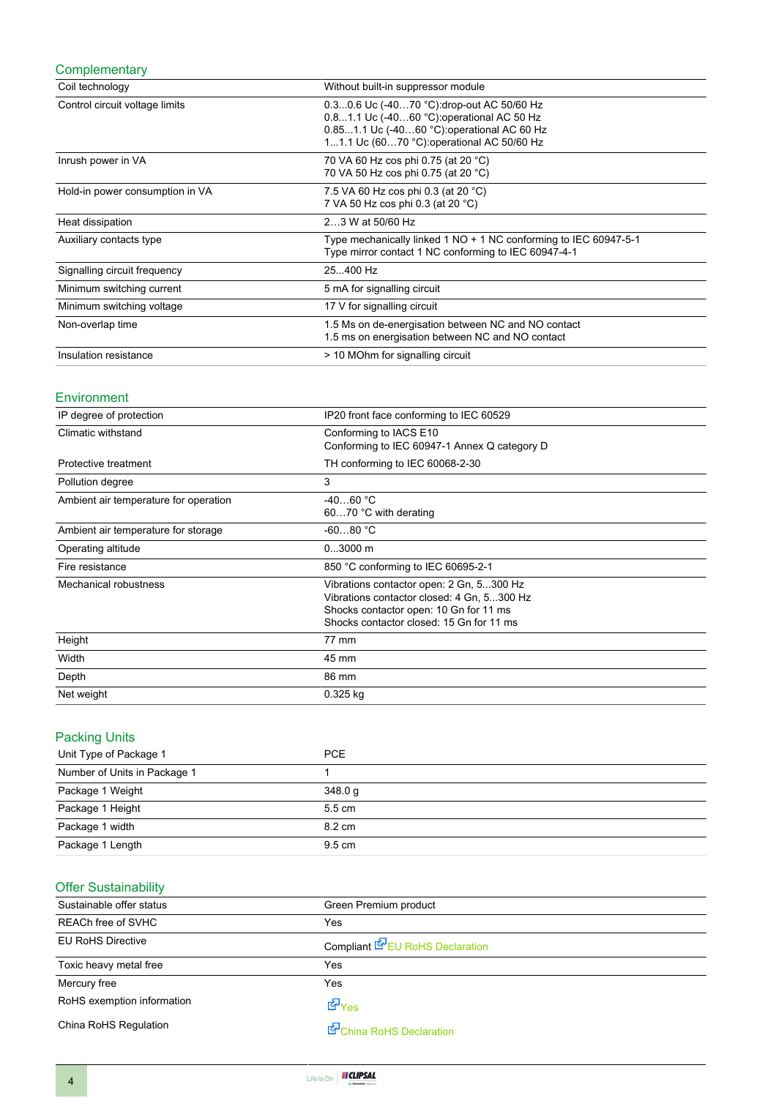## **Complementary**

| Coil technology                 | Without built-in suppressor module                                                                                                                                                    |
|---------------------------------|---------------------------------------------------------------------------------------------------------------------------------------------------------------------------------------|
| Control circuit voltage limits  | 0.30.6 Uc (-4070 °C): drop-out AC 50/60 Hz<br>0.81.1 Uc (-4060 °C): operational AC 50 Hz<br>0.851.1 Uc (-4060 °C): operational AC 60 Hz<br>11.1 Uc (6070 °C): operational AC 50/60 Hz |
| Inrush power in VA              | 70 VA 60 Hz cos phi 0.75 (at 20 °C)<br>70 VA 50 Hz cos phi 0.75 (at 20 °C)                                                                                                            |
| Hold-in power consumption in VA | 7.5 VA 60 Hz cos phi 0.3 (at 20 °C)<br>7 VA 50 Hz cos phi 0.3 (at 20 °C)                                                                                                              |
| Heat dissipation                | 23 W at 50/60 Hz                                                                                                                                                                      |
| Auxiliary contacts type         | Type mechanically linked 1 NO + 1 NC conforming to IEC 60947-5-1<br>Type mirror contact 1 NC conforming to IEC 60947-4-1                                                              |
| Signalling circuit frequency    | 25400 Hz                                                                                                                                                                              |
| Minimum switching current       | 5 mA for signalling circuit                                                                                                                                                           |
| Minimum switching voltage       | 17 V for signalling circuit                                                                                                                                                           |
| Non-overlap time                | 1.5 Ms on de-energisation between NC and NO contact<br>1.5 ms on energisation between NC and NO contact                                                                               |
| Insulation resistance           | > 10 MOhm for signalling circuit                                                                                                                                                      |

### Environment

| IP degree of protection               | IP20 front face conforming to IEC 60529                                                                                                                                      |
|---------------------------------------|------------------------------------------------------------------------------------------------------------------------------------------------------------------------------|
| Climatic withstand                    | Conforming to IACS E10<br>Conforming to IEC 60947-1 Annex Q category D                                                                                                       |
| Protective treatment                  | TH conforming to IEC 60068-2-30                                                                                                                                              |
| Pollution degree                      | 3                                                                                                                                                                            |
| Ambient air temperature for operation | $-4060 °C$<br>6070 °C with derating                                                                                                                                          |
| Ambient air temperature for storage   | $-6080 °C$                                                                                                                                                                   |
| Operating altitude                    | $03000$ m                                                                                                                                                                    |
| Fire resistance                       | 850 °C conforming to IEC 60695-2-1                                                                                                                                           |
| Mechanical robustness                 | Vibrations contactor open: 2 Gn, 5300 Hz<br>Vibrations contactor closed: 4 Gn, 5300 Hz<br>Shocks contactor open: 10 Gn for 11 ms<br>Shocks contactor closed: 15 Gn for 11 ms |
| Height                                | 77 mm                                                                                                                                                                        |
| Width                                 | 45 mm                                                                                                                                                                        |
| Depth                                 | 86 mm                                                                                                                                                                        |
| Net weight                            | 0.325 kg                                                                                                                                                                     |

## Packing Units

| Unit Type of Package 1       | <b>PCE</b>       |
|------------------------------|------------------|
| Number of Units in Package 1 |                  |
| Package 1 Weight             | 348.0 g          |
| Package 1 Height             | $5.5 \text{ cm}$ |
| Package 1 width              | 8.2 cm           |
| Package 1 Length             | $9.5 \text{ cm}$ |

## Offer Sustainability

| Sustainable offer status   | Green Premium product                  |  |
|----------------------------|----------------------------------------|--|
| REACh free of SVHC         | Yes                                    |  |
| <b>EU RoHS Directive</b>   | Compliant <b>E</b> EU RoHS Declaration |  |
| Toxic heavy metal free     | Yes                                    |  |
| Mercury free               | Yes                                    |  |
| RoHS exemption information | <b>E</b> Yes                           |  |
| China RoHS Regulation      | China RoHS Declaration                 |  |